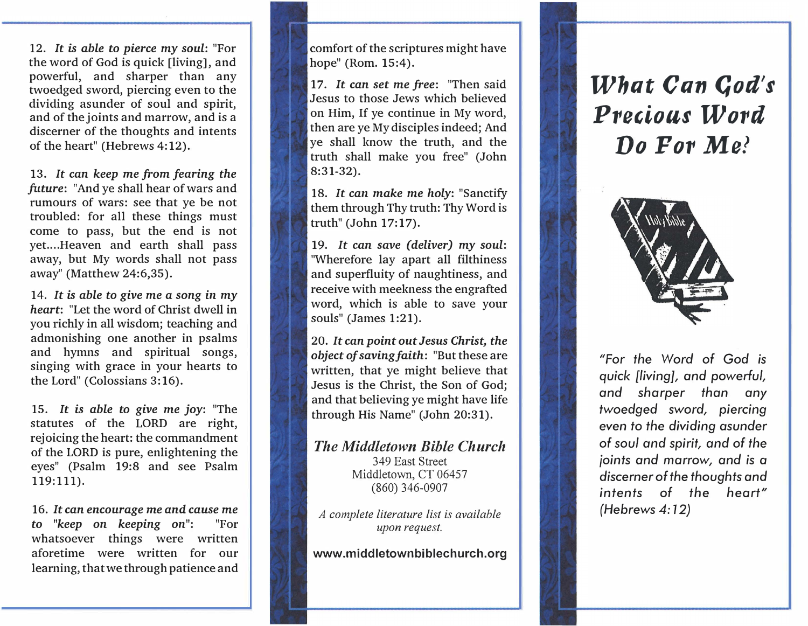12. It is able to pierce my soul: "For the word of God is quick [living], and powerful, and sharper than any twoedged sword, piercing even to the dividing asunder of soul and spirit, and of the joints and marrow, and is a discerner of the thoughts and intents of the heart" (Hebrews 4:12).

13. It can keep me from fearing the future: "And ye shall hear of wars and rumours of wars: see that ye be not troubled: for all these things must come to pass, but the end is not yet. ... Heaven and earth shall pass away, but My words shall not pass away" (Matthew 24:6,35).

14. It is able to give me a song in my heart: "Let the word of Christ dwell in you richly in all wisdom; teaching and admonishing one another in psalms and hymns and spiritual songs, singing with grace in your hearts to the Lord" (Colossians 3:16).

15. It is able to give me joy: "The statutes of the LORD are right, rejoicing the heart: the commandment of the LORD is pure, enlightening the eyes" (Psalm 19:8 and see Psalm 119:111).

16. It can encourage me and cause me to "keep on keeping on": "For whatsoever things were written aforetime were written for our learning, that we through patience and

comfort of the scriptures might have hope" (Rom. 15:4).

17. It can set me free: "Then said Jesus to those Jews which believed on Him, If ye continue in My word, then are ye My disciples indeed; And ye shall know the truth, and the truth shall make you free" (John 8:31-32).

18. It can make me holy: "Sanctify them through Thy truth: Thy Word is truth" (John 17:17).

19. It can save (deliver) my soul: "Wherefore lay apart all filthiness and superfluity of naughtiness, and receive with meekness the engrafted word, which is able to save your souls" (James 1:21).

20. It can point out Jesus Christ, the object of saving faith: "But these are written, that ye might believe that Jesus is the Christ, the Son of God; and that believing ye might have life through His Name" (John 20:31).

The Middletown Bible Church 349 East Street Middletown, CT 06457 (860) 346-0907

A complete literature list is available upon request.

www.middletownbiblechurch.org

## What Can God's Precious Word Do For Mel



"For the Word of God is quick [living], and powerful, and sharper than any twoedged sword, piercing even to the dividing asunder of soul and spirit, and of the joints and marrow, and is a discerner of the thoughts and intents of the heart" (Hebrews 4: 12)